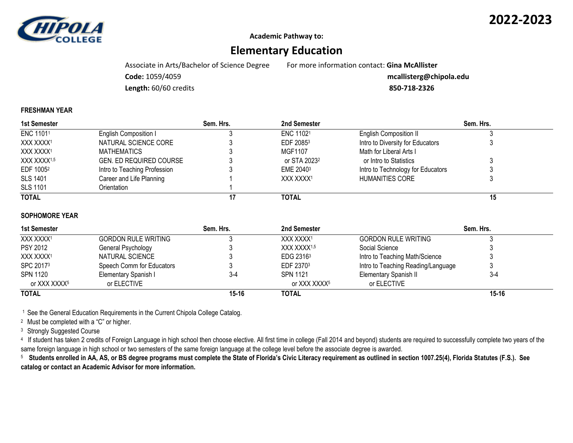

**2022-2023**

**Academic Pathway to:**

# **Elementary Education**

Associate in Arts/Bachelor of Science Degree For more information contact: **Gina McAllister**

**Code:** 1059/4059 **mcallisterg@chipola.edu**

**Length:** 60/60 credits **850-718-2326**

#### **FRESHMAN YEAR**

| 1st Semester            |                                | Sem. Hrs. | 2nd Semester             |                                   | Sem. Hrs. |  |
|-------------------------|--------------------------------|-----------|--------------------------|-----------------------------------|-----------|--|
| ENC 11011               | English Composition I          |           | ENC 11021                | <b>English Composition II</b>     |           |  |
| XXX XXXX1               | NATURAL SCIENCE CORE           |           | EDF 20853                | Intro to Diversity for Educators  |           |  |
| XXX XXXX1               | MATHEMATICS                    |           | MGF1107                  | Math for Liberal Arts I           |           |  |
| XXX XXXX <sup>1,5</sup> | <b>GEN. ED REQUIRED COURSE</b> |           | or STA 2023 <sup>2</sup> | or Intro to Statistics            |           |  |
| EDF 1005 <sup>2</sup>   | Intro to Teaching Profession   |           | EME 2040 <sup>3</sup>    | Intro to Technology for Educators |           |  |
| <b>SLS 1401</b>         | Career and Life Planning       |           | XXX XXXX <sup>1</sup>    | HUMANITIES CORE                   |           |  |
| <b>SLS 1101</b>         | Orientation                    |           |                          |                                   |           |  |
| <b>TOTAL</b>            |                                |           | TOTAL                    |                                   | 15        |  |

#### **SOPHOMORE YEAR**

| 1st Semester    |                            | Sem. Hrs. | 2nd Semester            | Sem. Hrs.                          |           |
|-----------------|----------------------------|-----------|-------------------------|------------------------------------|-----------|
| XXX XXXX1       | <b>GORDON RULE WRITING</b> |           | XXX XXXX <sup>1</sup>   | <b>GORDON RULE WRITING</b>         |           |
| <b>PSY 2012</b> | General Psychology         |           | XXX XXXX <sup>1,5</sup> | Social Science                     |           |
| XXX XXXX1       | NATURAL SCIENCE            |           | EDG 2316 <sup>3</sup>   | Intro to Teaching Math/Science     |           |
| SPC 20173       | Speech Comm for Educators  |           | EDF 2370 <sup>3</sup>   | Intro to Teaching Reading/Language |           |
| SPN 1120        | Elementary Spanish I       | 3-4       | <b>SPN 1121</b>         | Elementary Spanish II              | $3-4$     |
| or XXX XXXX5    | or ELECTIVE                |           | or XXX XXXX5            | or ELECTIVE                        |           |
| <b>TOTAL</b>    |                            | $15 - 16$ | TOTAL                   |                                    | $15 - 16$ |

<sup>1</sup> See the General Education Requirements in the Current Chipola College Catalog.

<sup>2</sup> Must be completed with a "C" or higher.

<sup>3</sup> Strongly Suggested Course

<sup>4</sup> If student has taken 2 credits of Foreign Language in high school then choose elective. All first time in college (Fall 2014 and beyond) students are required to successfully complete two years of the same foreign language in high school or two semesters of the same foreign language at the college level before the associate degree is awarded.

5  **Students enrolled in AA, AS, or BS degree programs must complete the State of Florida's Civic Literacy requirement as outlined in section 1007.25(4), Florida Statutes (F.S.). See catalog or contact an Academic Advisor for more information.**